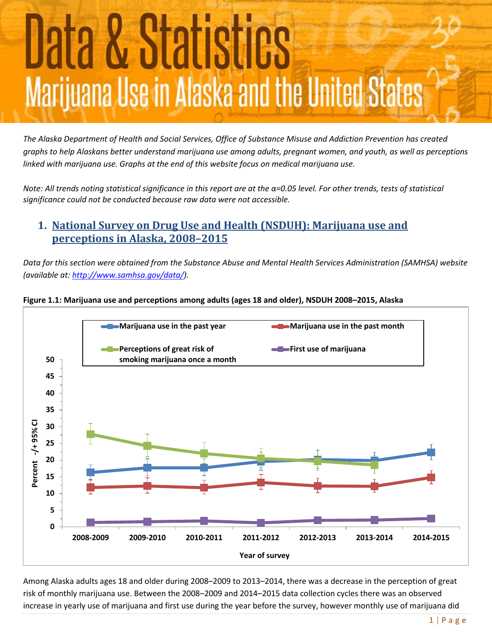# <u>Data & Statistics</u> Marijuana Use in Alaska and the United States

*The Alaska Department of Health and Social Services, Office of Substance Misuse and Addiction Prevention has created graphs to help Alaskans better understand marijuana use among adults, pregnant women, and youth, as well as perceptions linked with marijuana use. Graphs at the end of this website focus on medical marijuana use.*

*Note: All trends noting statistical significance in this report are at the α=0.05 level. For other trends, tests of statistical significance could not be conducted because raw data were not accessible.*

# **1. National Survey on Drug Use and Health (NSDUH): Marijuana use and perceptions in Alaska, 2008–2015**

*Data for this section were obtained from the Substance Abuse and Mental Health Services Administration (SAMHSA) website (available at[: http://www.samhsa.gov/data/\)](http://www.samhsa.gov/data/).*



## **Figure 1.1: Marijuana use and perceptions among adults (ages 18 and older), NSDUH 2008–2015, Alaska**

Among Alaska adults ages 18 and older during 2008–2009 to 2013–2014, there was a decrease in the perception of great risk of monthly marijuana use. Between the 2008–2009 and 2014–2015 data collection cycles there was an observed increase in yearly use of marijuana and first use during the year before the survey, however monthly use of marijuana did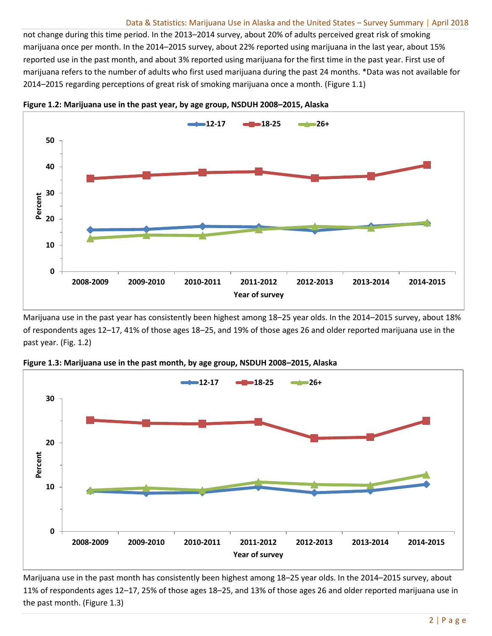#### Data & Statistics: Marijuana Use in Alaska and the United States – Survey Summary | April 2018

not change during this time period. In the 2013–2014 survey, about 20% of adults perceived great risk of smoking marijuana once per month. In the 2014–2015 survey, about 22% reported using marijuana in the last year, about 15% reported use in the past month, and about 3% reported using marijuana for the first time in the past year. First use of marijuana refers to the number of adults who first used marijuana during the past 24 months. \*Data was not available for 2014–2015 regarding perceptions of great risk of smoking marijuana once a month. (Figure 1.1)



**Figure 1.2: Marijuana use in the past year, by age group, NSDUH 2008–2015, Alaska**

Marijuana use in the past year has consistently been highest among 18–25 year olds. In the 2014–2015 survey, about 18% of respondents ages 12–17, 41% of those ages 18–25, and 19% of those ages 26 and older reported marijuana use in the past year. (Fig. 1.2)



**Figure 1.3: Marijuana use in the past month, by age group, NSDUH 2008–2015, Alaska**

Marijuana use in the past month has consistently been highest among 18–25 year olds. In the 2014–2015 survey, about 11% of respondents ages 12–17, 25% of those ages 18–25, and 13% of those ages 26 and older reported marijuana use in the past month. (Figure 1.3)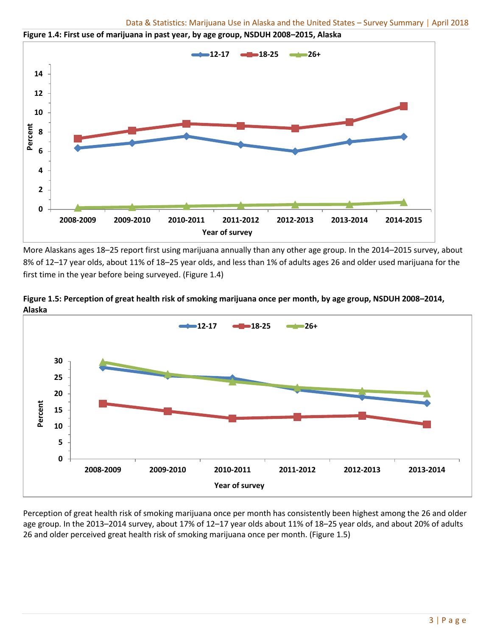

**Figure 1.4: First use of marijuana in past year, by age group, NSDUH 2008–2015, Alaska**

More Alaskans ages 18–25 report first using marijuana annually than any other age group. In the 2014–2015 survey, about 8% of 12–17 year olds, about 11% of 18–25 year olds, and less than 1% of adults ages 26 and older used marijuana for the first time in the year before being surveyed. (Figure 1.4)



**Figure 1.5: Perception of great health risk of smoking marijuana once per month, by age group, NSDUH 2008–2014, Alaska**

Perception of great health risk of smoking marijuana once per month has consistently been highest among the 26 and older age group. In the 2013–2014 survey, about 17% of 12–17 year olds about 11% of 18–25 year olds, and about 20% of adults 26 and older perceived great health risk of smoking marijuana once per month. (Figure 1.5)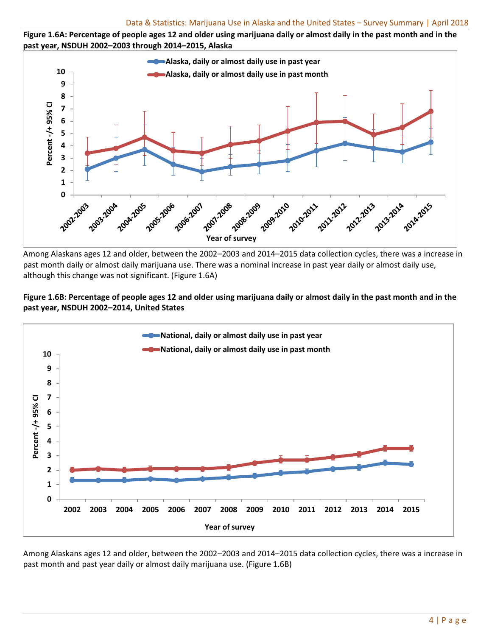



Among Alaskans ages 12 and older, between the 2002–2003 and 2014–2015 data collection cycles, there was a increase in past month daily or almost daily marijuana use. There was a nominal increase in past year daily or almost daily use, although this change was not significant. (Figure 1.6A)

## **Figure 1.6B: Percentage of people ages 12 and older using marijuana daily or almost daily in the past month and in the past year, NSDUH 2002–2014, United States**



Among Alaskans ages 12 and older, between the 2002–2003 and 2014–2015 data collection cycles, there was a increase in past month and past year daily or almost daily marijuana use. (Figure 1.6B)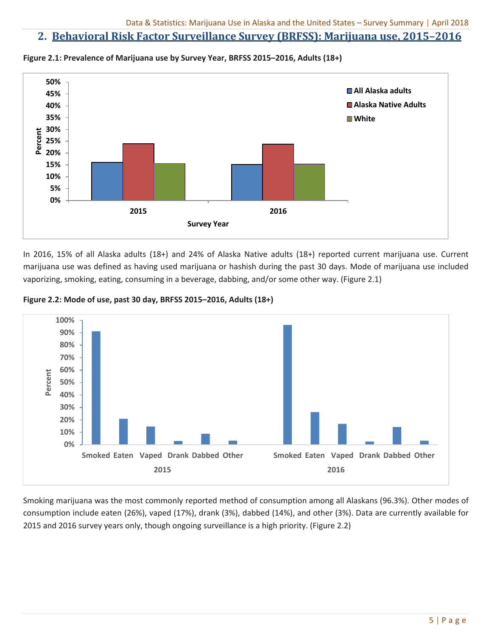## **2. Behavioral Risk Factor Surveillance Survey (BRFSS): Marijuana use, 2015–2016**



**Figure 2.1: Prevalence of Marijuana use by Survey Year, BRFSS 2015–2016, Adults (18+)**

In 2016, 15% of all Alaska adults (18+) and 24% of Alaska Native adults (18+) reported current marijuana use. Current marijuana use was defined as having used marijuana or hashish during the past 30 days. Mode of marijuana use included vaporizing, smoking, eating, consuming in a beverage, dabbing, and/or some other way. (Figure 2.1)

**Figure 2.2: Mode of use, past 30 day, BRFSS 2015–2016, Adults (18+)**



Smoking marijuana was the most commonly reported method of consumption among all Alaskans (96.3%). Other modes of consumption include eaten (26%), vaped (17%), drank (3%), dabbed (14%), and other (3%). Data are currently available for 2015 and 2016 survey years only, though ongoing surveillance is a high priority. (Figure 2.2)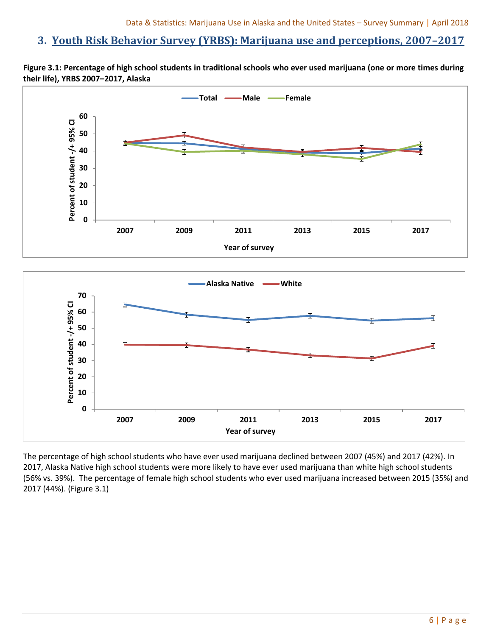## **3. Youth Risk Behavior Survey (YRBS): Marijuana use and perceptions, 2007–2017**





The percentage of high school students who have ever used marijuana declined between 2007 (45%) and 2017 (42%). In 2017, Alaska Native high school students were more likely to have ever used marijuana than white high school students (56% vs. 39%). The percentage of female high school students who ever used marijuana increased between 2015 (35%) and 2017 (44%). (Figure 3.1)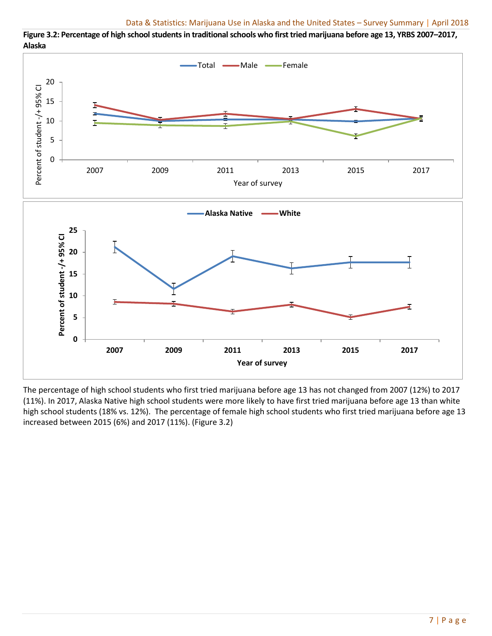Total **- Male** Female 20 Percent of student -/+ 95% CI Percent of student -/+ 95% CI 15 10 t 5 0 2007 2009 2011 2013 2015 2017 Year of survey **Alaska Native White25** Percent of student-/+95% CI **Percent of student -/+ 95% CI 20 15 10** ā **5 0 2007 2009 2011 2013 2015 2017 Year of survey**

**Figure 3.2: Percentage of high school students in traditional schools who first tried marijuana before age 13, YRBS 2007–2017, Alaska**

The percentage of high school students who first tried marijuana before age 13 has not changed from 2007 (12%) to 2017 (11%). In 2017, Alaska Native high school students were more likely to have first tried marijuana before age 13 than white high school students (18% vs. 12%). The percentage of female high school students who first tried marijuana before age 13 increased between 2015 (6%) and 2017 (11%). (Figure 3.2)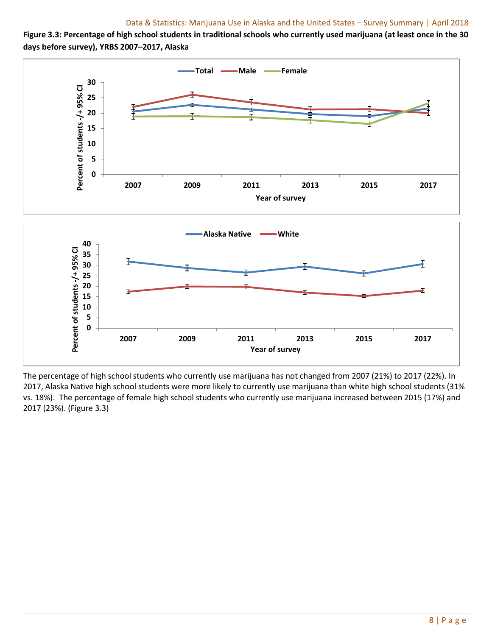**Figure 3.3: Percentage of high school students in traditional schools who currently used marijuana (at least once in the 30 days before survey), YRBS 2007–2017, Alaska**



The percentage of high school students who currently use marijuana has not changed from 2007 (21%) to 2017 (22%). In 2017, Alaska Native high school students were more likely to currently use marijuana than white high school students (31% vs. 18%). The percentage of female high school students who currently use marijuana increased between 2015 (17%) and 2017 (23%). (Figure 3.3)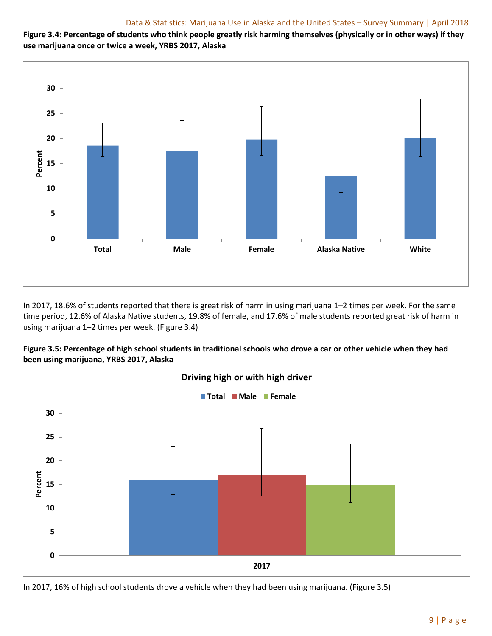**Figure 3.4: Percentage of students who think people greatly risk harming themselves (physically or in other ways) if they use marijuana once or twice a week, YRBS 2017, Alaska**



In 2017, 18.6% of students reported that there is great risk of harm in using marijuana 1–2 times per week. For the same time period, 12.6% of Alaska Native students, 19.8% of female, and 17.6% of male students reported great risk of harm in using marijuana 1–2 times per week. (Figure 3.4)





In 2017, 16% of high school students drove a vehicle when they had been using marijuana. (Figure 3.5)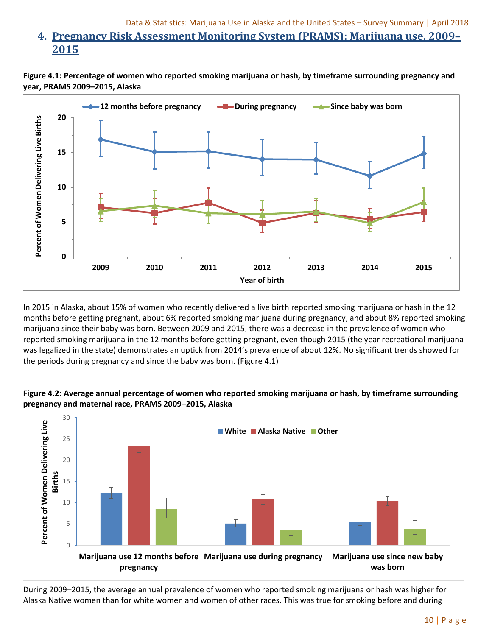# **4. Pregnancy Risk Assessment Monitoring System (PRAMS): Marijuana use, 2009– 2015**





In 2015 in Alaska, about 15% of women who recently delivered a live birth reported smoking marijuana or hash in the 12 months before getting pregnant, about 6% reported smoking marijuana during pregnancy, and about 8% reported smoking marijuana since their baby was born. Between 2009 and 2015, there was a decrease in the prevalence of women who reported smoking marijuana in the 12 months before getting pregnant, even though 2015 (the year recreational marijuana was legalized in the state) demonstrates an uptick from 2014's prevalence of about 12%. No significant trends showed for the periods during pregnancy and since the baby was born. (Figure 4.1)





During 2009–2015, the average annual prevalence of women who reported smoking marijuana or hash was higher for Alaska Native women than for white women and women of other races. This was true for smoking before and during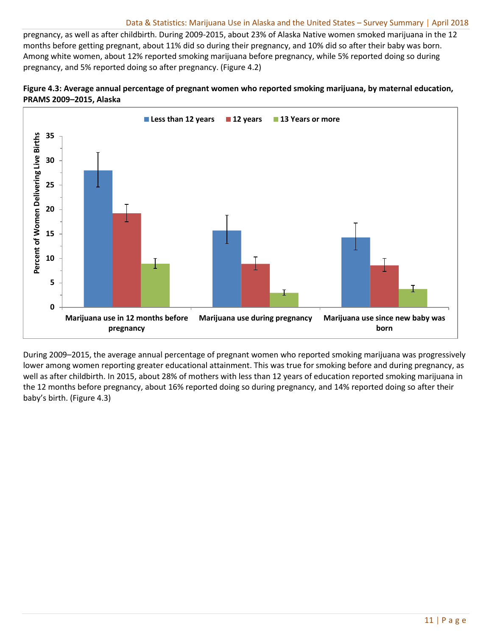pregnancy, as well as after childbirth. During 2009-2015, about 23% of Alaska Native women smoked marijuana in the 12 months before getting pregnant, about 11% did so during their pregnancy, and 10% did so after their baby was born. Among white women, about 12% reported smoking marijuana before pregnancy, while 5% reported doing so during pregnancy, and 5% reported doing so after pregnancy. (Figure 4.2)





During 2009–2015, the average annual percentage of pregnant women who reported smoking marijuana was progressively lower among women reporting greater educational attainment. This was true for smoking before and during pregnancy, as well as after childbirth. In 2015, about 28% of mothers with less than 12 years of education reported smoking marijuana in the 12 months before pregnancy, about 16% reported doing so during pregnancy, and 14% reported doing so after their baby's birth. (Figure 4.3)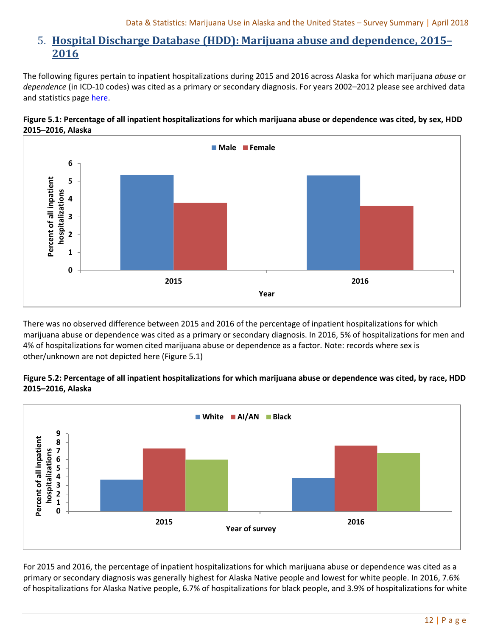# 5. **Hospital Discharge Database (HDD): Marijuana abuse and dependence, 2015– 2016**

The following figures pertain to inpatient hospitalizations during 2015 and 2016 across Alaska for which marijuana *abuse* or *dependence* (in ICD-10 codes) was cited as a primary or secondary diagnosis. For years 2002–2012 please see archived data and statistics pag[e here.](http://dhss.alaska.gov/dph/Director/Pages/marijuana/data.aspx)





There was no observed difference between 2015 and 2016 of the percentage of inpatient hospitalizations for which marijuana abuse or dependence was cited as a primary or secondary diagnosis. In 2016, 5% of hospitalizations for men and 4% of hospitalizations for women cited marijuana abuse or dependence as a factor. Note: records where sex is other/unknown are not depicted here (Figure 5.1)

## **Figure 5.2: Percentage of all inpatient hospitalizations for which marijuana abuse or dependence was cited, by race, HDD 2015–2016, Alaska**



For 2015 and 2016, the percentage of inpatient hospitalizations for which marijuana abuse or dependence was cited as a primary or secondary diagnosis was generally highest for Alaska Native people and lowest for white people. In 2016, 7.6% of hospitalizations for Alaska Native people, 6.7% of hospitalizations for black people, and 3.9% of hospitalizations for white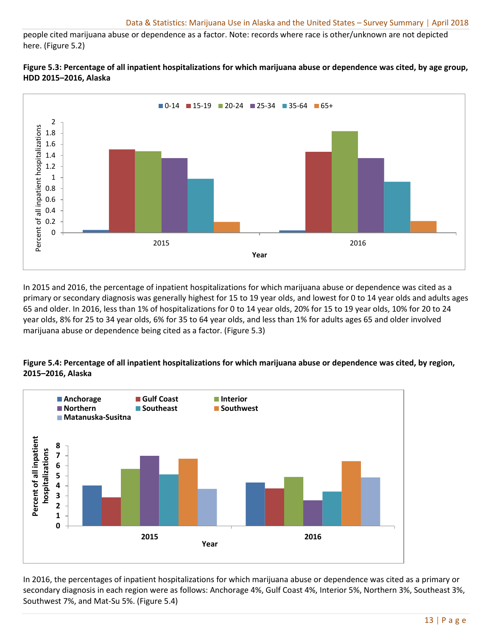people cited marijuana abuse or dependence as a factor. Note: records where race is other/unknown are not depicted here. (Figure 5.2)





In 2015 and 2016, the percentage of inpatient hospitalizations for which marijuana abuse or dependence was cited as a primary or secondary diagnosis was generally highest for 15 to 19 year olds, and lowest for 0 to 14 year olds and adults ages 65 and older. In 2016, less than 1% of hospitalizations for 0 to 14 year olds, 20% for 15 to 19 year olds, 10% for 20 to 24 year olds, 8% for 25 to 34 year olds, 6% for 35 to 64 year olds, and less than 1% for adults ages 65 and older involved marijuana abuse or dependence being cited as a factor. (Figure 5.3)

#### **Figure 5.4: Percentage of all inpatient hospitalizations for which marijuana abuse or dependence was cited, by region, 2015–2016, Alaska**



In 2016, the percentages of inpatient hospitalizations for which marijuana abuse or dependence was cited as a primary or secondary diagnosis in each region were as follows: Anchorage 4%, Gulf Coast 4%, Interior 5%, Northern 3%, Southeast 3%, Southwest 7%, and Mat-Su 5%. (Figure 5.4)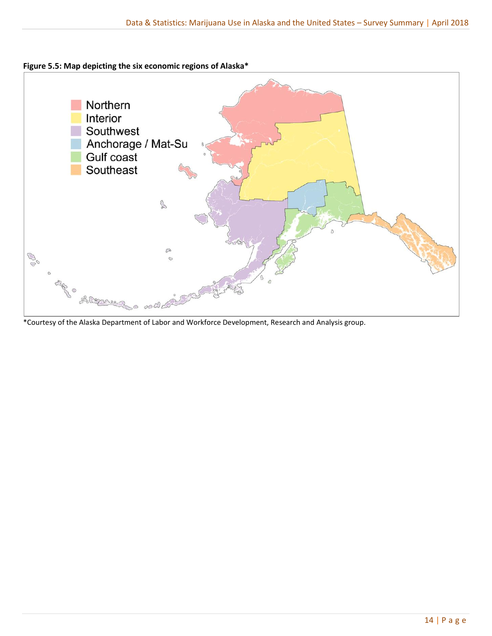## **Figure 5.5: Map depicting the six economic regions of Alaska\***



\*Courtesy of the Alaska Department of Labor and Workforce Development, Research and Analysis group.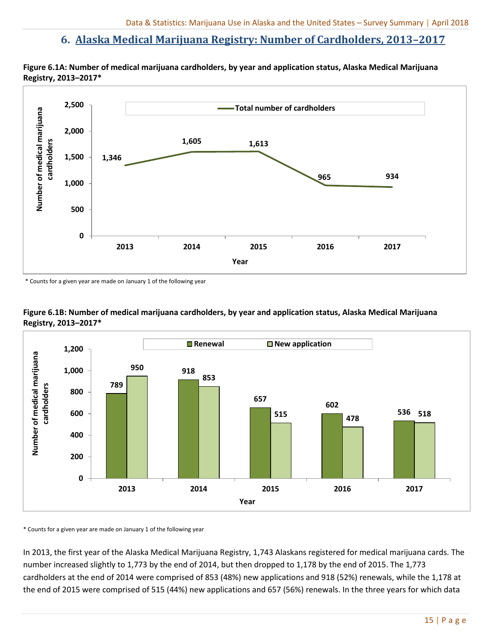## **6. Alaska Medical Marijuana Registry: Number of Cardholders, 2013–2017**





\* Counts for a given year are made on January 1 of the following year





\* Counts for a given year are made on January 1 of the following year

In 2013, the first year of the Alaska Medical Marijuana Registry, 1,743 Alaskans registered for medical marijuana cards. The number increased slightly to 1,773 by the end of 2014, but then dropped to 1,178 by the end of 2015. The 1,773 cardholders at the end of 2014 were comprised of 853 (48%) new applications and 918 (52%) renewals, while the 1,178 at the end of 2015 were comprised of 515 (44%) new applications and 657 (56%) renewals. In the three years for which data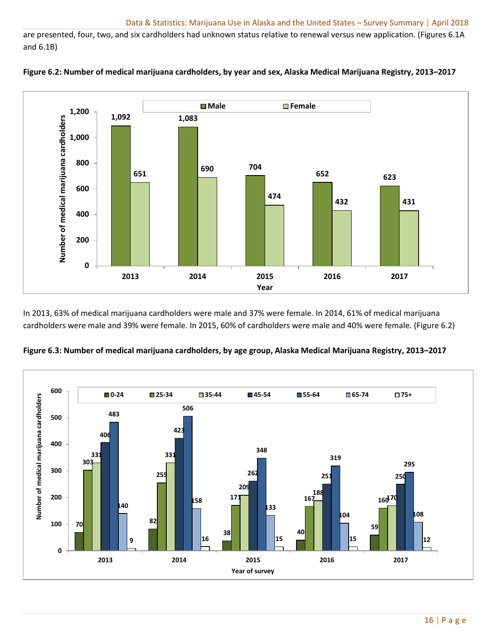are presented, four, two, and six cardholders had unknown status relative to renewal versus new application. (Figures 6.1A and 6.1B)





In 2013, 63% of medical marijuana cardholders were male and 37% were female. In 2014, 61% of medical marijuana cardholders were male and 39% were female. In 2015, 60% of cardholders were male and 40% were female. (Figure 6.2)



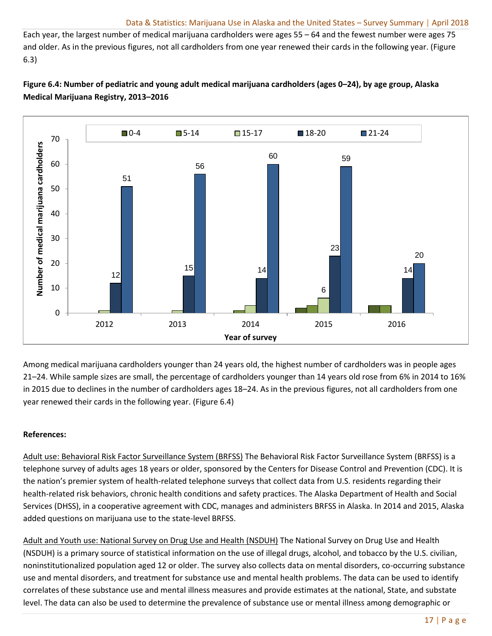Each year, the largest number of medical marijuana cardholders were ages 55 – 64 and the fewest number were ages 75 and older. As in the previous figures, not all cardholders from one year renewed their cards in the following year. (Figure 6.3)

## **Figure 6.4: Number of pediatric and young adult medical marijuana cardholders (ages 0–24), by age group, Alaska Medical Marijuana Registry, 2013–2016**



Among medical marijuana cardholders younger than 24 years old, the highest number of cardholders was in people ages 21–24. While sample sizes are small, the percentage of cardholders younger than 14 years old rose from 6% in 2014 to 16% in 2015 due to declines in the number of cardholders ages 18–24. As in the previous figures, not all cardholders from one year renewed their cards in the following year. (Figure 6.4)

## **References:**

Adult use: Behavioral Risk Factor Surveillance System (BRFSS) The Behavioral Risk Factor Surveillance System (BRFSS) is a telephone survey of adults ages 18 years or older, sponsored by the Centers for Disease Control and Prevention (CDC). It is the nation's premier system of health-related telephone surveys that collect data from U.S. residents regarding their health-related risk behaviors, chronic health conditions and safety practices. The Alaska Department of Health and Social Services (DHSS), in a cooperative agreement with CDC, manages and administers BRFSS in Alaska. In 2014 and 2015, Alaska added questions on marijuana use to the state-level BRFSS.

Adult and Youth use: National Survey on Drug Use and Health (NSDUH) The National Survey on Drug Use and Health (NSDUH) is a primary source of statistical information on the use of illegal drugs, alcohol, and tobacco by the U.S. civilian, noninstitutionalized population aged 12 or older. The survey also collects data on mental disorders, co-occurring substance use and mental disorders, and treatment for substance use and mental health problems. The data can be used to identify correlates of these substance use and mental illness measures and provide estimates at the national, State, and substate level. The data can also be used to determine the prevalence of substance use or mental illness among demographic or